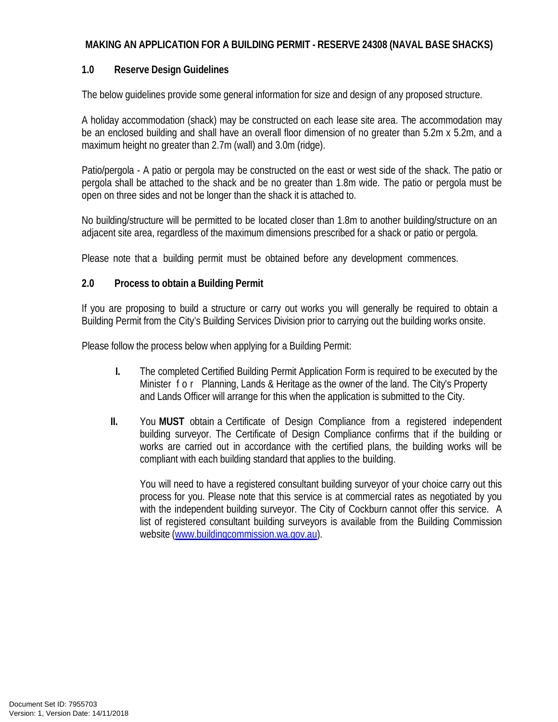### **MAKING AN APPLICATION FOR A BUILDING PERMIT - RESERVE 24308 (NAVAL BASE SHACKS)**

### **1.0 Reserve Design Guidelines**

The below guidelines provide some general information for size and design of any proposed structure.

A holiday accommodation (shack) may be constructed on each lease site area. The accommodation may be an enclosed building and shall have an overall floor dimension of no greater than 5.2m x 5.2m, and a maximum height no greater than 2.7m (wall) and 3.0m (ridge).

Patio/pergola - A patio or pergola may be constructed on the east or west side of the shack. The patio or pergola shall be attached to the shack and be no greater than 1.8m wide. The patio or pergola must be open on three sides and not be longer than the shack it is attached to.

No building/structure will be permitted to be located closer than 1.8m to another building/structure on an adjacent site area, regardless of the maximum dimensions prescribed for a shack or patio or pergola.

Please note that a building permit must be obtained before any development commences.

### **2.0 Process to obtain a Building Permit**

If you are proposing to build a structure or carry out works you will generally be required to obtain a Building Permit from the City's Building Services Division prior to carrying out the building works onsite.

Please follow the process below when applying for a Building Permit:

- **I.** The completed Certified Building Permit Application Form is required to be executed by the Minister for Planning, Lands & Heritage as the owner of the land. The City's Property and Lands Officer will arrange for this when the application is submitted to the City.
- **II.** You **MUST** obtain a Certificate of Design Compliance from a registered independent building surveyor. The Certificate of Design Compliance confirms that if the building or works are carried out in accordance with the certified plans, the building works will be compliant with each building standard that applies to the building.

You will need to have a registered consultant building surveyor of your choice carry out this process for you. Please note that this service is at commercial rates as negotiated by you with the independent building surveyor. The City of Cockburn cannot offer this service. A list of registered consultant building surveyors is available from the Building Commission website [\(www.buildingcommission.wa.gov.au\)](http://www.buildingcommission.wa.gov.au/).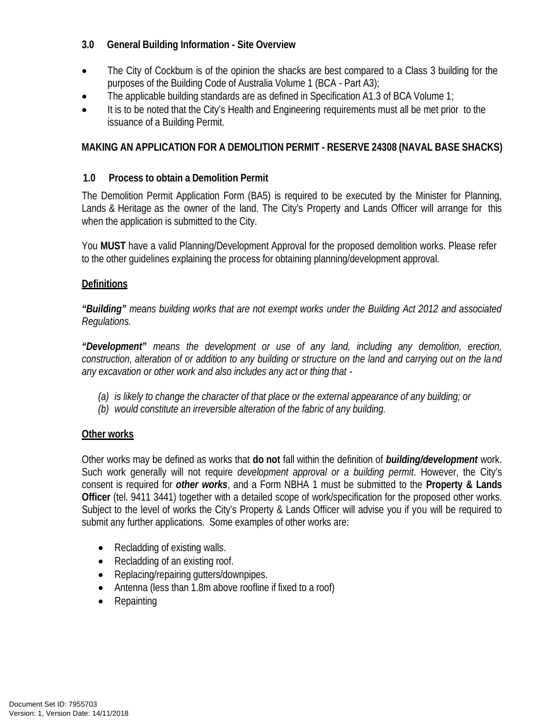# **3.0 General Building Information - Site Overview**

- The City of Cockburn is of the opinion the shacks are best compared to a Class 3 building for the purposes of the Building Code of Australia Volume 1 (BCA - Part A3);
- The applicable building standards are as defined in Specification A1.3 of BCA Volume 1;
- It is to be noted that the City's Health and Engineering requirements must all be met prior to the issuance of a Building Permit.

# **MAKING AN APPLICATION FOR A DEMOLITION PERMIT - RESERVE 24308 (NAVAL BASE SHACKS)**

# **1.0 Process to obtain a Demolition Permit**

The Demolition Permit Application Form (BA5) is required to be executed by the Minister for Planning, Lands & Heritage as the owner of the land. The City's Property and Lands Officer will arrange for this when the application is submitted to the City.

You **MUST** have a valid Planning/Development Approval for the proposed demolition works. Please refer to the other guidelines explaining the process for obtaining planning/development approval.

### **Definitions**

*"Building" means building works that are not exempt works under the Building Act 2012 and associated Regulations.*

*"Development" means the development or use of any land, including any demolition, erection,* construction, alteration of or addition to any building or structure on the land and carrying out on the land *any excavation or other work and also includes any act or thing that -*

- *(a) is likely to change the character of that place or the external appearance of any building; or*
- *(b) would constitute an irreversible alteration of the fabric of any building.*

# **Other works**

Other works may be defined as works that **do not** fall within the definition of *building/development* work. Such work generally will not require *development approval or a building permit*. However, the City's consent is required for *other works*, and a Form NBHA 1 must be submitted to the **Property & Lands Officer** (tel. 9411 3441) together with a detailed scope of work/specification for the proposed other works. Subject to the level of works the City's Property & Lands Officer will advise you if you will be required to submit any further applications. Some examples of other works are:

- Recladding of existing walls.
- Recladding of an existing roof.
- Replacing/repairing gutters/downpipes.
- Antenna (less than 1.8m above roofline if fixed to a roof)
- Repainting